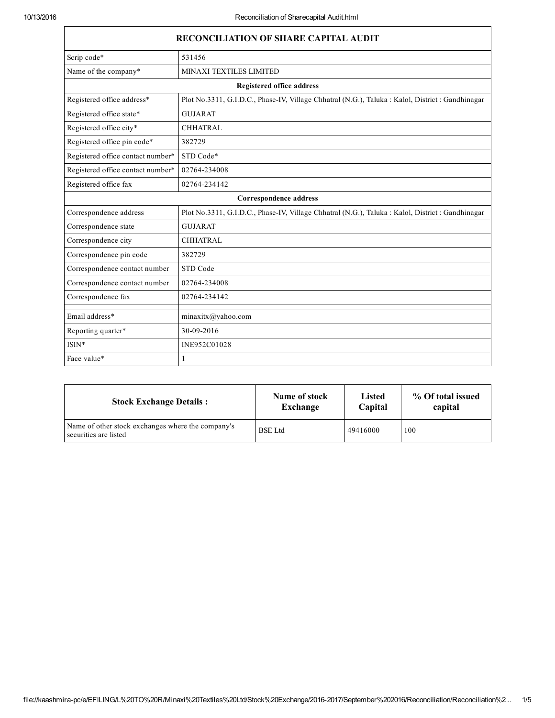| <b>RECONCILIATION OF SHARE CAPITAL AUDIT</b> |                                                                                                   |  |  |
|----------------------------------------------|---------------------------------------------------------------------------------------------------|--|--|
| Scrip code*                                  | 531456                                                                                            |  |  |
| Name of the company*                         | MINAXI TEXTILES LIMITED                                                                           |  |  |
| <b>Registered office address</b>             |                                                                                                   |  |  |
| Registered office address*                   | Plot No.3311, G.I.D.C., Phase-IV, Village Chhatral (N.G.), Taluka : Kalol, District : Gandhinagar |  |  |
| Registered office state*                     | <b>GUJARAT</b>                                                                                    |  |  |
| Registered office city*                      | <b>CHHATRAL</b>                                                                                   |  |  |
| Registered office pin code*                  | 382729                                                                                            |  |  |
| Registered office contact number*            | STD Code*                                                                                         |  |  |
| Registered office contact number*            | 02764-234008                                                                                      |  |  |
| Registered office fax                        | 02764-234142                                                                                      |  |  |
| Correspondence address                       |                                                                                                   |  |  |
| Correspondence address                       | Plot No.3311, G.I.D.C., Phase-IV, Village Chhatral (N.G.), Taluka : Kalol, District : Gandhinagar |  |  |
| Correspondence state                         | <b>GUJARAT</b>                                                                                    |  |  |
| Correspondence city                          | <b>CHHATRAL</b>                                                                                   |  |  |
| Correspondence pin code                      | 382729                                                                                            |  |  |
| Correspondence contact number                | STD Code                                                                                          |  |  |
| Correspondence contact number                | 02764-234008                                                                                      |  |  |
| Correspondence fax                           | 02764-234142                                                                                      |  |  |
| Email address*                               | minaxitx@yahoo.com                                                                                |  |  |
| Reporting quarter*                           | 30-09-2016                                                                                        |  |  |
| $ISIN*$                                      | INE952C01028                                                                                      |  |  |
| Face value*                                  | 1                                                                                                 |  |  |

| <b>Stock Exchange Details:</b>                                             | Name of stock  | <b>Listed</b> | % Of total issued |
|----------------------------------------------------------------------------|----------------|---------------|-------------------|
|                                                                            | Exchange       | Capital       | capital           |
| Name of other stock exchanges where the company's<br>securities are listed | <b>BSE</b> Ltd | 49416000      | 100               |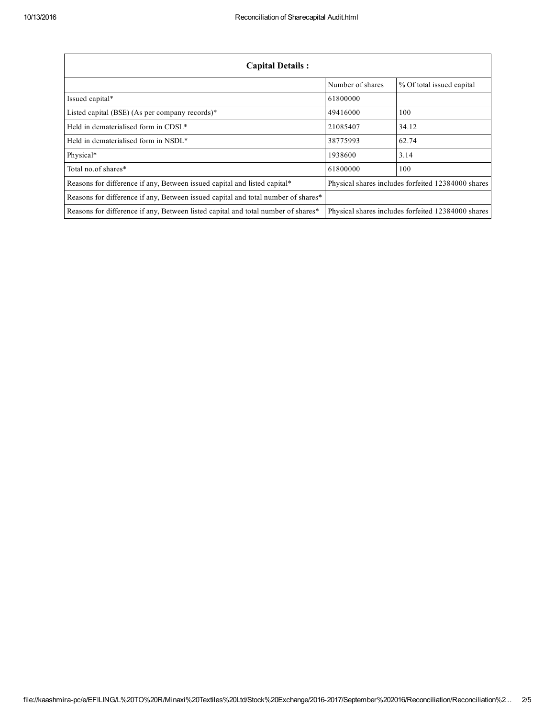| <b>Capital Details:</b>                                                           |                  |                                                    |  |
|-----------------------------------------------------------------------------------|------------------|----------------------------------------------------|--|
|                                                                                   | Number of shares | % Of total issued capital                          |  |
| Issued capital*                                                                   | 61800000         |                                                    |  |
| Listed capital (BSE) (As per company records)*                                    | 49416000         | 100                                                |  |
| Held in dematerialised form in CDSL*                                              | 21085407         | 34.12                                              |  |
| Held in dematerialised form in NSDL*                                              | 38775993         | 62.74                                              |  |
| Physical*                                                                         | 1938600          | 3.14                                               |  |
| Total no of shares*                                                               | 61800000         | 100                                                |  |
| Reasons for difference if any, Between issued capital and listed capital*         |                  | Physical shares includes forfeited 12384000 shares |  |
| Reasons for difference if any, Between issued capital and total number of shares* |                  |                                                    |  |
| Reasons for difference if any, Between listed capital and total number of shares* |                  | Physical shares includes forfeited 12384000 shares |  |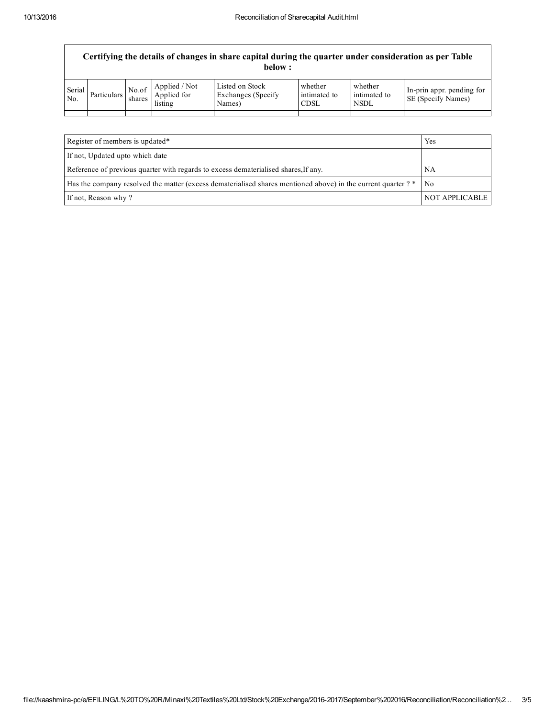| Certifying the details of changes in share capital during the quarter under consideration as per Table<br>below : |                    |        |                                                                                                        |                                                  |                                 |                                        |                                                        |
|-------------------------------------------------------------------------------------------------------------------|--------------------|--------|--------------------------------------------------------------------------------------------------------|--------------------------------------------------|---------------------------------|----------------------------------------|--------------------------------------------------------|
| Serial<br>No.                                                                                                     | <b>Particulars</b> | shares | $\begin{array}{ c c c }\n\hline\nNo. of & \text{Applied} / Not\n\end{array}$<br>Applied for<br>listing | Listed on Stock<br>Exchanges (Specify)<br>Names) | whether<br>intimated to<br>CDSL | whether<br>intimated to<br><b>NSDL</b> | In-prin appr. pending for<br><b>SE</b> (Specify Names) |

| Register of members is updated*                                                                               | Yes            |
|---------------------------------------------------------------------------------------------------------------|----------------|
| If not, Updated upto which date                                                                               |                |
| Reference of previous quarter with regards to excess dematerialised shares. If any.                           | NΑ             |
| Has the company resolved the matter (excess dematerialised shares mentioned above) in the current quarter ? * | - No           |
| If not, Reason why?                                                                                           | NOT APPLICABLE |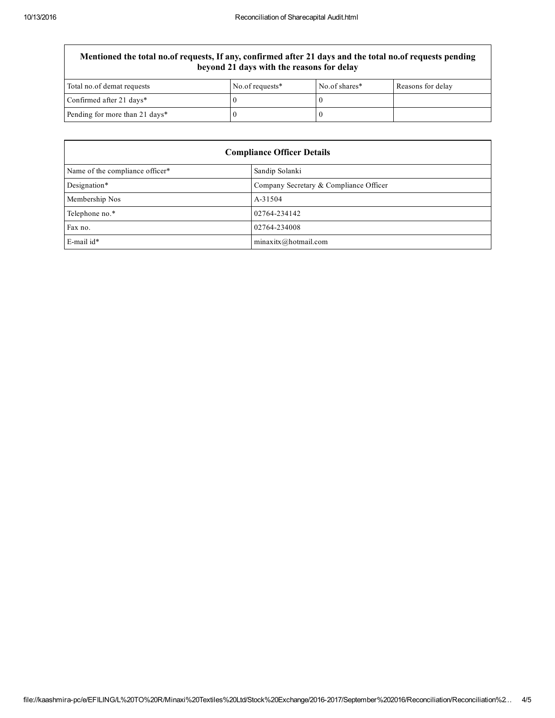## Mentioned the total no.of requests, If any, confirmed after 21 days and the total no.of requests pending beyond 21 days with the reasons for delay

| Total no.of demat requests     | No.of requests* | No.of shares* | Reasons for delay |
|--------------------------------|-----------------|---------------|-------------------|
| Confirmed after 21 days*       |                 |               |                   |
| Pending for more than 21 days* |                 |               |                   |

| <b>Compliance Officer Details</b> |                                        |  |  |
|-----------------------------------|----------------------------------------|--|--|
| Name of the compliance officer*   | Sandip Solanki                         |  |  |
| Designation*                      | Company Secretary & Compliance Officer |  |  |
| Membership Nos                    | A-31504                                |  |  |
| Telephone no.*                    | 02764-234142                           |  |  |
| Fax no.                           | 02764-234008                           |  |  |
| E-mail id*                        | minaxitx@hotmail.com                   |  |  |